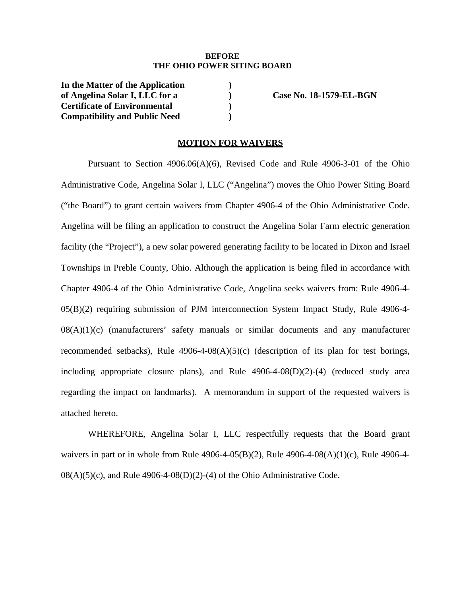#### **BEFORE THE OHIO POWER SITING BOARD**

**In the Matter of the Application of Angelina Solar I, LLC for a Certificate of Environmental Compatibility and Public Need** 

 **Case No. 18-1579-EL-BGN** 

### **MOTION FOR WAIVERS**

**) ) ) )** 

Pursuant to Section 4906.06(A)(6), Revised Code and Rule 4906-3-01 of the Ohio Administrative Code, Angelina Solar I, LLC ("Angelina") moves the Ohio Power Siting Board ("the Board") to grant certain waivers from Chapter 4906-4 of the Ohio Administrative Code. Angelina will be filing an application to construct the Angelina Solar Farm electric generation facility (the "Project"), a new solar powered generating facility to be located in Dixon and Israel Townships in Preble County, Ohio. Although the application is being filed in accordance with Chapter 4906-4 of the Ohio Administrative Code, Angelina seeks waivers from: Rule 4906-4- 05(B)(2) requiring submission of PJM interconnection System Impact Study, Rule 4906-4-  $08(A)(1)(c)$  (manufacturers' safety manuals or similar documents and any manufacturer recommended setbacks), Rule  $4906-4-08(A)(5)(c)$  (description of its plan for test borings, including appropriate closure plans), and Rule 4906-4-08(D)(2)-(4) (reduced study area regarding the impact on landmarks). A memorandum in support of the requested waivers is attached hereto.

WHEREFORE, Angelina Solar I, LLC respectfully requests that the Board grant waivers in part or in whole from Rule 4906-4-05(B)(2), Rule 4906-4-08(A)(1)(c), Rule 4906-4-  $08(A)(5)(c)$ , and Rule 4906-4-08(D)(2)-(4) of the Ohio Administrative Code.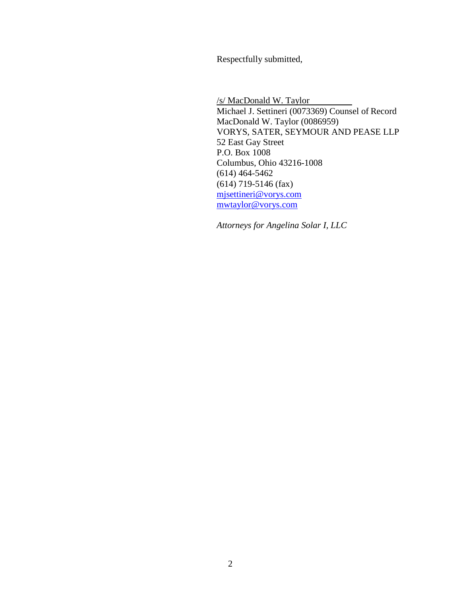Respectfully submitted,

/s/ MacDonald W. Taylor Michael J. Settineri (0073369) Counsel of Record MacDonald W. Taylor (0086959) VORYS, SATER, SEYMOUR AND PEASE LLP 52 East Gay Street P.O. Box 1008 Columbus, Ohio 43216-1008 (614) 464-5462 (614) 719-5146 (fax) mjsettineri@vorys.com mwtaylor@vorys.com

*Attorneys for Angelina Solar I, LLC*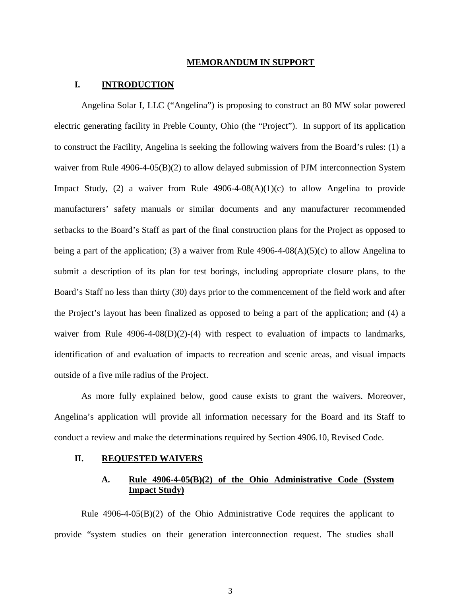#### **MEMORANDUM IN SUPPORT**

## **I. INTRODUCTION**

Angelina Solar I, LLC ("Angelina") is proposing to construct an 80 MW solar powered electric generating facility in Preble County, Ohio (the "Project"). In support of its application to construct the Facility, Angelina is seeking the following waivers from the Board's rules: (1) a waiver from Rule 4906-4-05(B)(2) to allow delayed submission of PJM interconnection System Impact Study, (2) a waiver from Rule  $4906-4-08(A)(1)(c)$  to allow Angelina to provide manufacturers' safety manuals or similar documents and any manufacturer recommended setbacks to the Board's Staff as part of the final construction plans for the Project as opposed to being a part of the application; (3) a waiver from Rule  $4906-4-08(A)(5)(c)$  to allow Angelina to submit a description of its plan for test borings, including appropriate closure plans, to the Board's Staff no less than thirty (30) days prior to the commencement of the field work and after the Project's layout has been finalized as opposed to being a part of the application; and (4) a waiver from Rule  $4906-4-08(D)(2)-(4)$  with respect to evaluation of impacts to landmarks, identification of and evaluation of impacts to recreation and scenic areas, and visual impacts outside of a five mile radius of the Project.

As more fully explained below, good cause exists to grant the waivers. Moreover, Angelina's application will provide all information necessary for the Board and its Staff to conduct a review and make the determinations required by Section 4906.10, Revised Code.

### **II. REQUESTED WAIVERS**

# **A. Rule 4906-4-05(B)(2) of the Ohio Administrative Code (System Impact Study)**

Rule 4906-4-05(B)(2) of the Ohio Administrative Code requires the applicant to provide "system studies on their generation interconnection request. The studies shall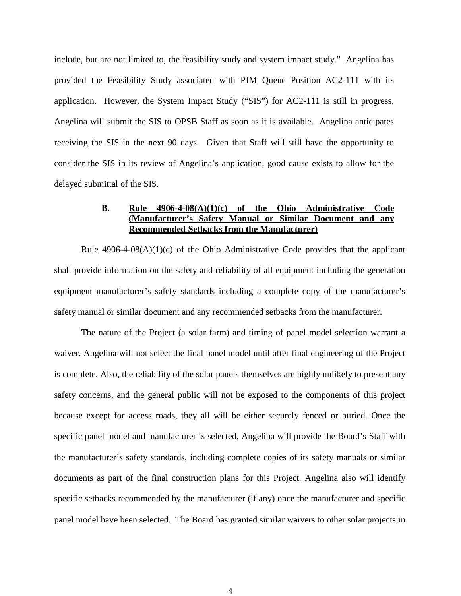include, but are not limited to, the feasibility study and system impact study." Angelina has provided the Feasibility Study associated with PJM Queue Position AC2-111 with its application. However, the System Impact Study ("SIS") for AC2-111 is still in progress. Angelina will submit the SIS to OPSB Staff as soon as it is available. Angelina anticipates receiving the SIS in the next 90 days. Given that Staff will still have the opportunity to consider the SIS in its review of Angelina's application, good cause exists to allow for the delayed submittal of the SIS.

# **B. Rule 4906-4-08(A)(1)(c) of the Ohio Administrative Code (Manufacturer's Safety Manual or Similar Document and any Recommended Setbacks from the Manufacturer)**

Rule  $4906-4-08(A)(1)(c)$  of the Ohio Administrative Code provides that the applicant shall provide information on the safety and reliability of all equipment including the generation equipment manufacturer's safety standards including a complete copy of the manufacturer's safety manual or similar document and any recommended setbacks from the manufacturer.

The nature of the Project (a solar farm) and timing of panel model selection warrant a waiver. Angelina will not select the final panel model until after final engineering of the Project is complete. Also, the reliability of the solar panels themselves are highly unlikely to present any safety concerns, and the general public will not be exposed to the components of this project because except for access roads, they all will be either securely fenced or buried. Once the specific panel model and manufacturer is selected, Angelina will provide the Board's Staff with the manufacturer's safety standards, including complete copies of its safety manuals or similar documents as part of the final construction plans for this Project. Angelina also will identify specific setbacks recommended by the manufacturer (if any) once the manufacturer and specific panel model have been selected. The Board has granted similar waivers to other solar projects in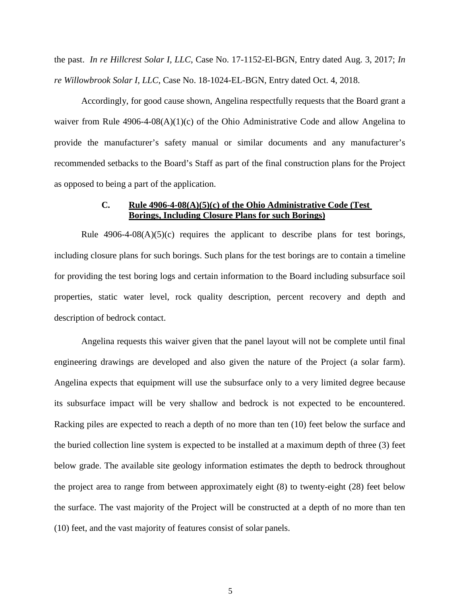the past. *In re Hillcrest Solar I, LLC*, Case No. 17-1152-El-BGN, Entry dated Aug. 3, 2017; *In re Willowbrook Solar I, LLC*, Case No. 18-1024-EL-BGN, Entry dated Oct. 4, 2018.

Accordingly, for good cause shown, Angelina respectfully requests that the Board grant a waiver from Rule 4906-4-08(A)(1)(c) of the Ohio Administrative Code and allow Angelina to provide the manufacturer's safety manual or similar documents and any manufacturer's recommended setbacks to the Board's Staff as part of the final construction plans for the Project as opposed to being a part of the application.

# **C. Rule 4906-4-08(A)(5)(c) of the Ohio Administrative Code (Test Borings, Including Closure Plans for such Borings)**

Rule  $4906-4-08(A)(5)(c)$  requires the applicant to describe plans for test borings, including closure plans for such borings. Such plans for the test borings are to contain a timeline for providing the test boring logs and certain information to the Board including subsurface soil properties, static water level, rock quality description, percent recovery and depth and description of bedrock contact.

Angelina requests this waiver given that the panel layout will not be complete until final engineering drawings are developed and also given the nature of the Project (a solar farm). Angelina expects that equipment will use the subsurface only to a very limited degree because its subsurface impact will be very shallow and bedrock is not expected to be encountered. Racking piles are expected to reach a depth of no more than ten (10) feet below the surface and the buried collection line system is expected to be installed at a maximum depth of three (3) feet below grade. The available site geology information estimates the depth to bedrock throughout the project area to range from between approximately eight (8) to twenty-eight (28) feet below the surface. The vast majority of the Project will be constructed at a depth of no more than ten (10) feet, and the vast majority of features consist of solar panels.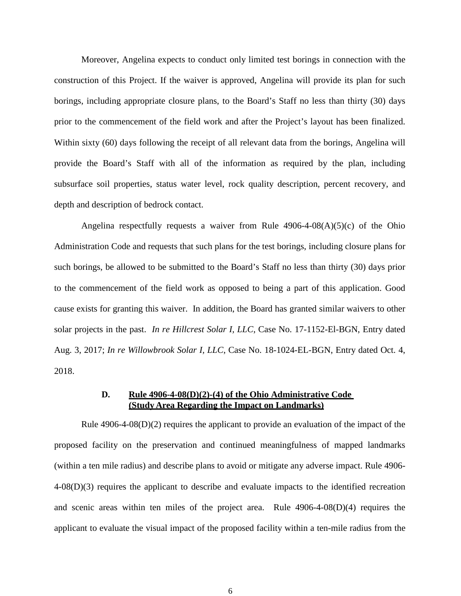Moreover, Angelina expects to conduct only limited test borings in connection with the construction of this Project. If the waiver is approved, Angelina will provide its plan for such borings, including appropriate closure plans, to the Board's Staff no less than thirty (30) days prior to the commencement of the field work and after the Project's layout has been finalized. Within sixty (60) days following the receipt of all relevant data from the borings, Angelina will provide the Board's Staff with all of the information as required by the plan, including subsurface soil properties, status water level, rock quality description, percent recovery, and depth and description of bedrock contact.

Angelina respectfully requests a waiver from Rule  $4906-4-08(A)(5)(c)$  of the Ohio Administration Code and requests that such plans for the test borings, including closure plans for such borings, be allowed to be submitted to the Board's Staff no less than thirty (30) days prior to the commencement of the field work as opposed to being a part of this application. Good cause exists for granting this waiver. In addition, the Board has granted similar waivers to other solar projects in the past. *In re Hillcrest Solar I, LLC*, Case No. 17-1152-El-BGN, Entry dated Aug. 3, 2017; *In re Willowbrook Solar I, LLC*, Case No. 18-1024-EL-BGN, Entry dated Oct. 4, 2018.

# **D. Rule 4906-4-08(D)(2)-(4) of the Ohio Administrative Code (Study Area Regarding the Impact on Landmarks)**

Rule 4906-4-08(D)(2) requires the applicant to provide an evaluation of the impact of the proposed facility on the preservation and continued meaningfulness of mapped landmarks (within a ten mile radius) and describe plans to avoid or mitigate any adverse impact. Rule 4906- 4-08(D)(3) requires the applicant to describe and evaluate impacts to the identified recreation and scenic areas within ten miles of the project area. Rule 4906-4-08(D)(4) requires the applicant to evaluate the visual impact of the proposed facility within a ten-mile radius from the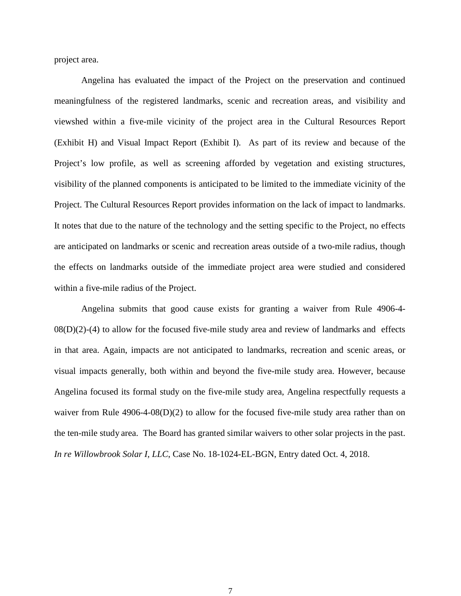project area.

Angelina has evaluated the impact of the Project on the preservation and continued meaningfulness of the registered landmarks, scenic and recreation areas, and visibility and viewshed within a five-mile vicinity of the project area in the Cultural Resources Report (Exhibit H) and Visual Impact Report (Exhibit I). As part of its review and because of the Project's low profile, as well as screening afforded by vegetation and existing structures, visibility of the planned components is anticipated to be limited to the immediate vicinity of the Project. The Cultural Resources Report provides information on the lack of impact to landmarks. It notes that due to the nature of the technology and the setting specific to the Project, no effects are anticipated on landmarks or scenic and recreation areas outside of a two-mile radius, though the effects on landmarks outside of the immediate project area were studied and considered within a five-mile radius of the Project.

Angelina submits that good cause exists for granting a waiver from Rule 4906-4-  $08(D)(2)-(4)$  to allow for the focused five-mile study area and review of landmarks and effects in that area. Again, impacts are not anticipated to landmarks, recreation and scenic areas, or visual impacts generally, both within and beyond the five-mile study area. However, because Angelina focused its formal study on the five-mile study area, Angelina respectfully requests a waiver from Rule 4906-4-08(D)(2) to allow for the focused five-mile study area rather than on the ten-mile study area. The Board has granted similar waivers to other solar projects in the past. *In re Willowbrook Solar I, LLC*, Case No. 18-1024-EL-BGN, Entry dated Oct. 4, 2018.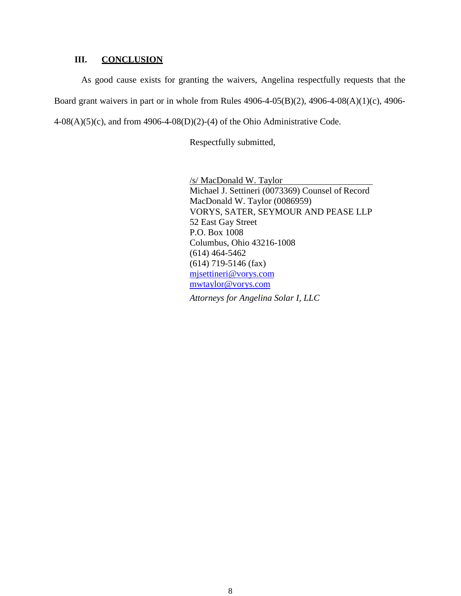# **III. CONCLUSION**

As good cause exists for granting the waivers, Angelina respectfully requests that the Board grant waivers in part or in whole from Rules 4906-4-05(B)(2), 4906-4-08(A)(1)(c), 4906-  $4-08(A)(5)(c)$ , and from  $4906-4-08(D)(2)-(4)$  of the Ohio Administrative Code.

Respectfully submitted,

/s/ MacDonald W. Taylor Michael J. Settineri (0073369) Counsel of Record MacDonald W. Taylor (0086959) VORYS, SATER, SEYMOUR AND PEASE LLP 52 East Gay Street P.O. Box 1008 Columbus, Ohio 43216-1008 (614) 464-5462 (614) 719-5146 (fax) mjsettineri@vorys.com mwtaylor@vorys.com

*Attorneys for Angelina Solar I, LLC*